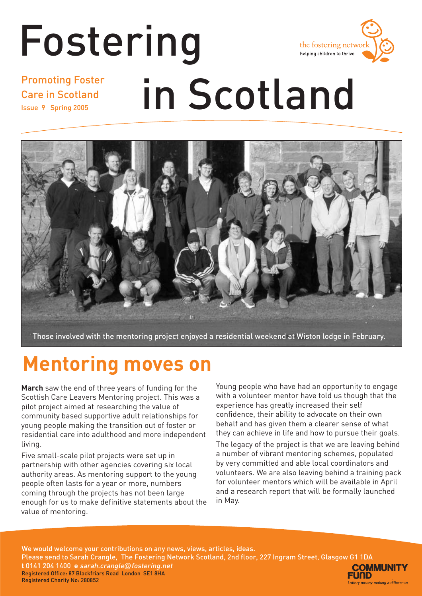### Fostering the fostering networ helping children to thrive Promoting Foster in Scotland Care in Scotland Issue 9 Spring 2005



Those involved with the mentoring project enjoyed a residential weekend at Wiston lodge in February.

# **Mentoring moves on**

**March** saw the end of three years of funding for the Scottish Care Leavers Mentoring project. This was a pilot project aimed at researching the value of community based supportive adult relationships for young people making the transition out of foster or residential care into adulthood and more independent living.

Five small-scale pilot projects were set up in partnership with other agencies covering six local authority areas. As mentoring support to the young people often lasts for a year or more, numbers coming through the projects has not been large enough for us to make definitive statements about the value of mentoring.

Young people who have had an opportunity to engage with a volunteer mentor have told us though that the experience has greatly increased their self confidence, their ability to advocate on their own behalf and has given them a clearer sense of what they can achieve in life and how to pursue their goals.

The legacy of the project is that we are leaving behind a number of vibrant mentoring schemes, populated by very committed and able local coordinators and volunteers. We are also leaving behind a training pack for volunteer mentors which will be available in April and a research report that will be formally launched in May.

We would welcome your contributions on any news, views, articles, ideas. Please send to Sarah Crangle, The Fostering Network Scotland, 2nd floor, 227 Ingram Street, Glasgow G1 1DA **t** 0141 204 1400 **e** sarah.crangle@fostering.net **COMMUNITY** Registered Office: 87 Blackfriars Road London SE1 8HA FUND Registered Charity No: 280852 **Lottery money making a difference**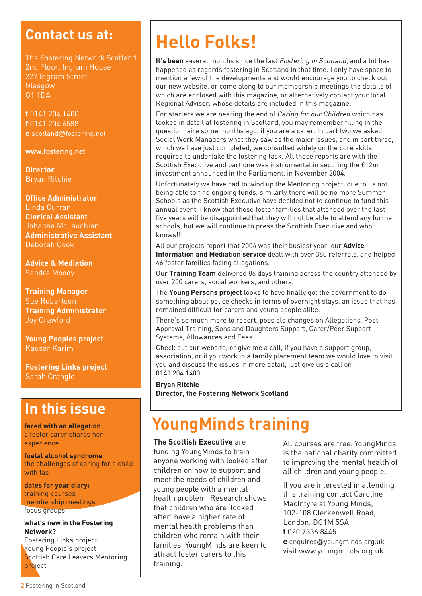## **Contact us at:**

The Fostering Network Scotland 2nd Floor, Ingram House 227 Ingram Street **Glasgow** G1 1DA

**t** 0141 204 1400 **f** 0141 204 6588 **e** scotland@fostering.net

#### **www.fostering.net**

**Director**  Bryan Ritchie

**Office Administrator** Linda Curran **Clerical Assistant**  Johanna McLauchlan **Administrative Assistant** Deborah Cook

**Advice & Mediation** Sandra Moody

#### **Training Manager** Sue Robertson **Training Administrator** Joy Crawford

**Young Peoples project** Kausar Karim

**Fostering Links project** Sarah Crangle

### **In this issue**

**faced with an allegation** a foster carer shares her experience

**foetal alcohol syndrome** the challenges of caring for a child with fas

**dates for your diary:** training courses membership meetings focus groups

#### **what's new in the Fostering Network?**

Fostering Links project Young People's project Scottish Care Leavers Mentoring project

# **Hello Folks!**

It's been several months since the last Fostering in Scotland, and a lot has happened as regards fostering in Scotland in that time. I only have space to mention a few of the developments and would encourage you to check out our new website, or come along to our membership meetings the details of which are enclosed with this magazine, or alternatively contact your local Regional Adviser, whose details are included in this magazine.

For starters we are nearing the end of *Caring for our Children* which has looked in detail at fostering in Scotland, you may remember filling in the questionnaire some months ago, if you are a carer. In part two we asked Social Work Managers what they saw as the major issues, and in part three, which we have just completed, we consulted widely on the core skills required to undertake the fostering task. All these reports are with the Scottish Executive and part one was instrumental in securing the £12m investment announced in the Parliament, in November 2004.

Unfortunately we have had to wind up the Mentoring project, due to us not being able to find ongoing funds, similarly there will be no more Summer Schools as the Scottish Executive have decided not to continue to fund this annual event. I know that those foster families that attended over the last five years will be disappointed that they will not be able to attend any further schools, but we will continue to press the Scottish Executive and who knows!!!

All our projects report that 2004 was their busiest year, our **Advice Information and Mediation service** dealt with over 380 referrals, and helped 46 foster families facing allegations.

Our **Training Team** delivered 86 days training across the country attended by over 200 carers, social workers, and others.

The **Young Persons project** looks to have finally got the government to do something about police checks in terms of overnight stays, an issue that has remained difficult for carers and young people alike.

There's so much more to report, possible changes on Allegations, Post Approval Training, Sons and Daughters Support, Carer/Peer Support Systems, Allowances and Fees.

Check out our website, or give me a call, if you have a support group, association, or if you work in a family placement team we would love to visit you and discuss the issues in more detail, just give us a call on 0141 204 1400

**Bryan Ritchie Director, the Fostering Network Scotland**

## **YoungMinds training**

#### **The Scottish Executive** are

funding YoungMinds to train anyone working with looked after children on how to support and meet the needs of children and young people with a mental health problem. Research shows that children who are 'looked after' have a higher rate of mental health problems than children who remain with their families. YoungMinds are keen to attract foster carers to this training.

All courses are free. YoungMinds is the national charity committed to improving the mental health of all children and young people.

If you are interested in attending this training contact Caroline MacIntyre at Young Minds, 102-108 Clerkenwell Road, London. DC1M 5SA. **t** 020 7336 8445 **e** enquires@youngminds.org.uk visit www.youngminds.org.uk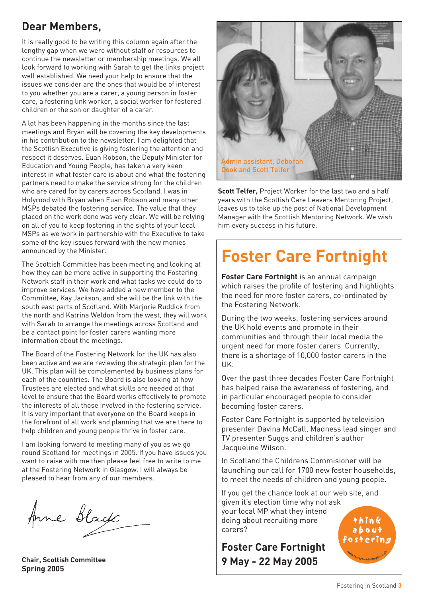### **Dear Members,**

It is really good to be writing this column again after the lengthy gap when we were without staff or resources to continue the newsletter or membership meetings. We all look forward to working with Sarah to get the links project well established. We need your help to ensure that the issues we consider are the ones that would be of interest to you whether you are a carer, a young person in foster care, a fostering link worker, a social worker for fostered children or the son or daughter of a carer.

A lot has been happening in the months since the last meetings and Bryan will be covering the key developments in his contribution to the newsletter. I am delighted that the Scottish Executive is giving fostering the attention and respect it deserves. Euan Robson, the Deputy Minister for Education and Young People, has taken a very keen interest in what foster care is about and what the fostering partners need to make the service strong for the children who are cared for by carers across Scotland. I was in Holyrood with Bryan when Euan Robson and many other MSPs debated the fostering service. The value that they placed on the work done was very clear. We will be relying on all of you to keep fostering in the sights of your local MSPs as we work in partnership with the Executive to take some of the key issues forward with the new monies announced by the Minister.

The Scottish Committee has been meeting and looking at how they can be more active in supporting the Fostering Network staff in their work and what tasks we could do to improve services. We have added a new member to the Committee, Kay Jackson, and she will be the link with the south east parts of Scotland. With Marjorie Ruddick from the north and Katrina Weldon from the west, they will work with Sarah to arrange the meetings across Scotland and be a contact point for foster carers wanting more information about the meetings.

The Board of the Fostering Network for the UK has also been active and we are reviewing the strategic plan for the UK. This plan will be complemented by business plans for each of the countries. The Board is also looking at how Trustees are elected and what skills are needed at that level to ensure that the Board works effectively to promote the interests of all those involved in the fostering service. It is very important that everyone on the Board keeps in the forefront of all work and planning that we are there to help children and young people thrive in foster care.

I am looking forward to meeting many of you as we go round Scotland for meetings in 2005. If you have issues you want to raise with me then please feel free to write to me at the Fostering Network in Glasgow. I will always be pleased to hear from any of our members.

Anne Black

**Chair, Scottish Committee Spring 2005**



**Scott Telfer,** Project Worker for the last two and a half years with the Scottish Care Leavers Mentoring Project, leaves us to take up the post of National Development Manager with the Scottish Mentoring Network. We wish him every success in his future.

# **Foster Care Fortnight**

**Foster Care Fortnight** is an annual campaign which raises the profile of fostering and highlights the need for more foster carers, co-ordinated by the Fostering Network.

During the two weeks, fostering services around the UK hold events and promote in their communities and through their local media the urgent need for more foster carers. Currently, there is a shortage of 10,000 foster carers in the UK.

Over the past three decades Foster Care Fortnight has helped raise the awareness of fostering, and in particular encouraged people to consider becoming foster carers.

Foster Care Fortnight is supported by television presenter Davina McCall, Madness lead singer and TV presenter Suggs and children's author Jacqueline Wilson.

In Scotland the Childrens Commisioner will be launching our call for 1700 new foster households, to meet the needs of children and young people.

If you get the chance look at our web site, and given it's election time why not ask your local MP what they intend doing about recruiting more carers?

**Foster Care Fortnight 9 May - 22 May 2005**

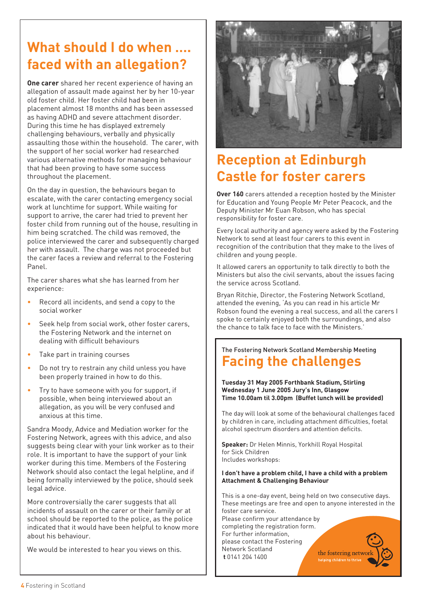## **What should I do when …. faced with an allegation?**

**One carer** shared her recent experience of having an allegation of assault made against her by her 10-year old foster child. Her foster child had been in placement almost 18 months and has been assessed as having ADHD and severe attachment disorder. During this time he has displayed extremely challenging behaviours, verbally and physically assaulting those within the household. The carer, with the support of her social worker had researched various alternative methods for managing behaviour that had been proving to have some success throughout the placement.

On the day in question, the behaviours began to escalate, with the carer contacting emergency social work at lunchtime for support. While waiting for support to arrive, the carer had tried to prevent her foster child from running out of the house, resulting in him being scratched. The child was removed, the police interviewed the carer and subsequently charged her with assault. The charge was not proceeded but the carer faces a review and referral to the Fostering Panel.

The carer shares what she has learned from her experience:

- Record all incidents, and send a copy to the social worker
- Seek help from social work, other foster carers, the Fostering Network and the internet on dealing with difficult behaviours
- Take part in training courses
- Do not try to restrain any child unless you have been properly trained in how to do this.
- Try to have someone with you for support, if possible, when being interviewed about an allegation, as you will be very confused and anxious at this time.

Sandra Moody, Advice and Mediation worker for the Fostering Network, agrees with this advice, and also suggests being clear with your link worker as to their role. It is important to have the support of your link worker during this time. Members of the Fostering Network should also contact the legal helpline, and if being formally interviewed by the police, should seek legal advice.

More controversially the carer suggests that all incidents of assault on the carer or their family or at school should be reported to the police, as the police indicated that it would have been helpful to know more about his behaviour.

We would be interested to hear you views on this.



## **Reception at Edinburgh Castle for foster carers**

**Over 160** carers attended a reception hosted by the Minister for Education and Young People Mr Peter Peacock, and the Deputy Minister Mr Euan Robson, who has special responsibility for foster care.

Every local authority and agency were asked by the Fostering Network to send at least four carers to this event in recognition of the contribution that they make to the lives of children and young people.

It allowed carers an opportunity to talk directly to both the Ministers but also the civil servants, about the issues facing the service across Scotland.

Bryan Ritchie, Director, the Fostering Network Scotland, attended the evening, 'As you can read in his article Mr Robson found the evening a real success, and all the carers I spoke to certainly enjoyed both the surroundings, and also the chance to talk face to face with the Ministers.'

### The Fostering Network Scotland Membership Meeting **Facing the challenges**

**Tuesday 31 May 2005 Forthbank Stadium, Stirling Wednesday 1 June 2005 Jury's Inn, Glasgow Time 10.00am til 3.00pm (Buffet lunch will be provided)**

The day will look at some of the behavioural challenges faced by children in care, including attachment difficulties, foetal alcohol spectrum disorders and attention deficits.

**Speaker:** Dr Helen Minnis, Yorkhill Royal Hospital for Sick Children Includes workshops:

#### **I don't have a problem child, I have a child with a problem Attachment & Challenging Behaviour**

This is a one-day event, being held on two consecutive days. These meetings are free and open to anyone interested in the foster care service.

Please confirm your attendance by completing the registration form. For further information, please contact the Fostering Network Scotland **t** 0141 204 1400

the fostering networ helping children to thri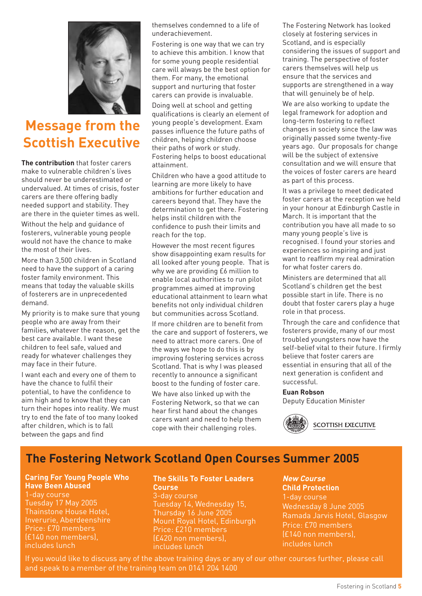

## **Message from the Scottish Executive**

**The contribution** that foster carers make to vulnerable children's lives should never be underestimated or undervalued. At times of crisis, foster carers are there offering badly needed support and stability. They are there in the quieter times as well. Without the help and guidance of fosterers, vulnerable young people would not have the chance to make the most of their lives.

More than 3,500 children in Scotland need to have the support of a caring foster family environment. This means that today the valuable skills of fosterers are in unprecedented demand.

My priority is to make sure that young people who are away from their families, whatever the reason, get the best care available. I want these children to feel safe, valued and ready for whatever challenges they may face in their future.

I want each and every one of them to have the chance to fulfil their potential, to have the confidence to aim high and to know that they can turn their hopes into reality. We must try to end the fate of too many looked after children, which is to fall between the gaps and find

themselves condemned to a life of underachievement.

Fostering is one way that we can try to achieve this ambition. I know that for some young people residential care will always be the best option for them. For many, the emotional support and nurturing that foster carers can provide is invaluable.

Doing well at school and getting qualifications is clearly an element of young people's development. Exam passes influence the future paths of children, helping children choose their paths of work or study. Fostering helps to boost educational attainment.

Children who have a good attitude to learning are more likely to have ambitions for further education and careers beyond that. They have the determination to get there. Fostering helps instil children with the confidence to push their limits and reach for the top.

However the most recent figures show disappointing exam results for all looked after young people. That is why we are providing £6 million to enable local authorities to run pilot programmes aimed at improving educational attainment to learn what benefits not only individual children but communities across Scotland.

If more children are to benefit from the care and support of fosterers, we need to attract more carers. One of the ways we hope to do this is by improving fostering services across Scotland. That is why I was pleased recently to announce a significant boost to the funding of foster care.

We have also linked up with the Fostering Network, so that we can hear first hand about the changes carers want and need to help them cope with their challenging roles.

The Fostering Network has looked closely at fostering services in Scotland, and is especially considering the issues of support and training. The perspective of foster carers themselves will help us ensure that the services and supports are strengthened in a way that will genuinely be of help.

We are also working to update the legal framework for adoption and long-term fostering to reflect changes in society since the law was originally passed some twenty-five years ago. Our proposals for change will be the subject of extensive consultation and we will ensure that the voices of foster carers are heard as part of this process.

It was a privilege to meet dedicated foster carers at the reception we held in your honour at Edinburgh Castle in March. It is important that the contribution you have all made to so many young people's live is recognised. I found your stories and experiences so inspiring and just want to reaffirm my real admiration for what foster carers do.

Ministers are determined that all Scotland's children get the best possible start in life. There is no doubt that foster carers play a huge role in that process.

Through the care and confidence that fosterers provide, many of our most troubled youngsters now have the self-belief vital to their future. I firmly believe that foster carers are essential in ensuring that all of the next generation is confident and successful.

#### **Euan Robson**

Deputy Education Minister



### **The Fostering Network Scotland Open Courses Summer 2005**

#### **Caring For Young People Who Have Been Abused**

1-day course Tuesday 17 May 2005 Thainstone House Hotel, Inverurie, Aberdeenshire Price: £70 members (£140 non members), includes lunch

#### **The Skills To Foster Leaders Course**

3-day course Tuesday 14, Wednesday 15, Thursday 16 June 2005 Mount Royal Hotel, Edinburgh Price: £210 members (£420 non members), includes lunch

#### **New Course Child Protection**

1-day course Wednesday 8 June 2005 Ramada Jarvis Hotel, Glasgow Price: £70 members (£140 non members), includes lunch

If you would like to discuss any of the above training days or any of our other courses further, please call and speak to a member of the training team on 0141 204 1400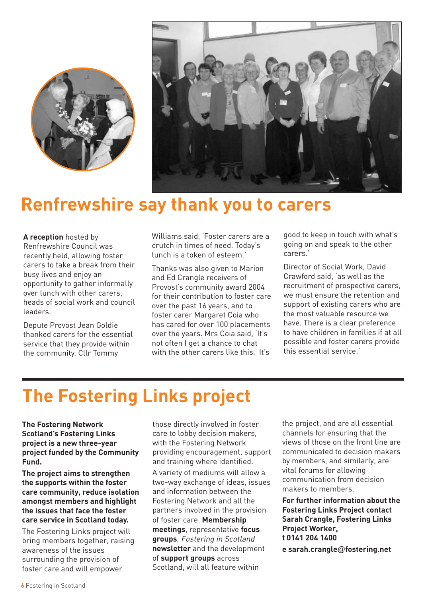



## **Renfrewshire say thank you to carers**

**A reception** hosted by Renfrewshire Council was recently held, allowing foster carers to take a break from their busy lives and enjoy an opportunity to gather informally over lunch with other carers, heads of social work and council leaders.

Depute Provost Jean Goldie thanked carers for the essential service that they provide within the community. Cllr Tommy

Williams said, 'Foster carers are a crutch in times of need. Today's lunch is a token of esteem.'

Thanks was also given to Marion and Ed Crangle receivers of Provost's community award 2004 for their contribution to foster care over the past 16 years, and to foster carer Margaret Coia who has cared for over 100 placements over the years. Mrs Coia said, 'It's not often I get a chance to chat with the other carers like this. It's

good to keep in touch with what's going on and speak to the other carers.'

Director of Social Work, David Crawford said, 'as well as the recruitment of prospective carers, we must ensure the retention and support of existing carers who are the most valuable resource we have. There is a clear preference to have children in families if at all possible and foster carers provide this essential service.'

# **The Fostering Links project**

**The Fostering Network Scotland's Fostering Links project is a new three-year project funded by the Community Fund.** 

**The project aims to strengthen the supports within the foster care community, reduce isolation amongst members and highlight the issues that face the foster care service in Scotland today.** 

The Fostering Links project will bring members together, raising awareness of the issues surrounding the provision of foster care and will empower

those directly involved in foster care to lobby decision makers, with the Fostering Network providing encouragement, support and training where identified.

A variety of mediums will allow a two-way exchange of ideas, issues and information between the Fostering Network and all the partners involved in the provision of foster care. **Membership meetings**, representative **focus groups**, Fostering in Scotland **newsletter** and the development of **support groups** across Scotland, will all feature within

the project, and are all essential channels for ensuring that the views of those on the front line are communicated to decision makers by members, and similarly, are vital forums for allowing communication from decision makers to members.

**For further information about the Fostering Links Project contact Sarah Crangle, Fostering Links Project Worker, t 0141 204 1400 e sarah.crangle**@**fostering.net**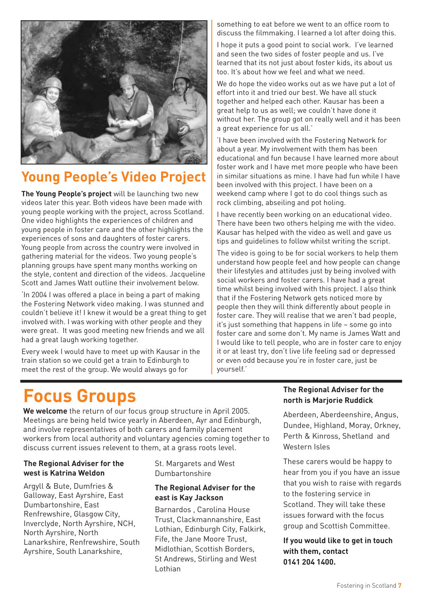

### **Young People's Video Project**

**The Young People's project** will be launching two new videos later this year. Both videos have been made with young people working with the project, across Scotland. One video highlights the experiences of children and young people in foster care and the other highlights the experiences of sons and daughters of foster carers. Young people from across the country were involved in gathering material for the videos. Two young people's planning groups have spent many months working on the style, content and direction of the videos. Jacqueline Scott and James Watt outline their involvement below.

'In 2004 I was offered a place in being a part of making the Fostering Network video making. I was stunned and couldn't believe it! I knew it would be a great thing to get involved with. I was working with other people and they were great. It was good meeting new friends and we all had a great laugh working together.

Every week I would have to meet up with Kausar in the train station so we could get a train to Edinburgh to meet the rest of the group. We would always go for

something to eat before we went to an office room to discuss the filmmaking. I learned a lot after doing this.

I hope it puts a good point to social work. I've learned and seen the two sides of foster people and us. I've learned that its not just about foster kids, its about us too. It's about how we feel and what we need.

We do hope the video works out as we have put a lot of effort into it and tried our best. We have all stuck together and helped each other. Kausar has been a great help to us as well; we couldn't have done it without her. The group got on really well and it has been a great experience for us all.'

'I have been involved with the Fostering Network for about a year. My involvement with them has been educational and fun because I have learned more about foster work and I have met more people who have been in similar situations as mine. I have had fun while I have been involved with this project. I have been on a weekend camp where I got to do cool things such as rock climbing, abseiling and pot holing.

I have recently been working on an educational video. There have been two others helping me with the video. Kausar has helped with the video as well and gave us tips and guidelines to follow whilst writing the script.

The video is going to be for social workers to help them understand how people feel and how people can change their lifestyles and attitudes just by being involved with social workers and foster carers. I have had a great time whilst being involved with this project. I also think that if the Fostering Network gets noticed more by people then they will think differently about people in foster care. They will realise that we aren't bad people, it's just something that happens in life – some go into foster care and some don't. My name is James Watt and I would like to tell people, who are in foster care to enjoy it or at least try, don't live life feeling sad or depressed or even odd because you're in foster care, just be yourself.'

# **Focus Groups**

**We welcome** the return of our focus group structure in April 2005. Meetings are being held twice yearly in Aberdeen, Ayr and Edinburgh, and involve representatives of both carers and family placement workers from local authority and voluntary agencies coming together to discuss current issues relevent to them, at a grass roots level.

#### **The Regional Adviser for the west is Katrina Weldon**

Argyll & Bute, Dumfries & Galloway, East Ayrshire, East Dumbartonshire, East Renfrewshire, Glasgow City, Inverclyde, North Ayrshire, NCH, North Ayrshire, North Lanarkshire, Renfrewshire, South Ayrshire, South Lanarkshire,

St. Margarets and West Dumbartonshire

#### **The Regional Adviser for the east is Kay Jackson**

Barnardos , Carolina House Trust, Clackmannanshire, East Lothian, Edinburgh City, Falkirk, Fife, the Jane Moore Trust, Midlothian, Scottish Borders, St Andrews, Stirling and West Lothian

#### **The Regional Adviser for the north is Marjorie Ruddick**

Aberdeen, Aberdeenshire, Angus, Dundee, Highland, Moray, Orkney, Perth & Kinross, Shetland and Western Isles

These carers would be happy to hear from you if you have an issue that you wish to raise with regards to the fostering service in Scotland. They will take these issues forward with the focus group and Scottish Committee.

#### **If you would like to get in touch with them, contact 0141 204 1400.**